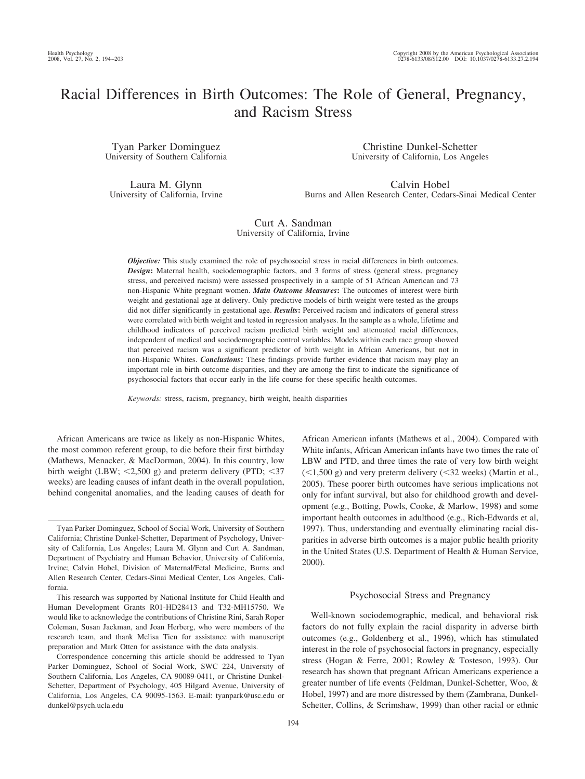# Racial Differences in Birth Outcomes: The Role of General, Pregnancy, and Racism Stress

Tyan Parker Dominguez University of Southern California

Laura M. Glynn University of California, Irvine

Christine Dunkel-Schetter University of California, Los Angeles

Calvin Hobel Burns and Allen Research Center, Cedars-Sinai Medical Center

Curt A. Sandman University of California, Irvine

*Objective:* This study examined the role of psychosocial stress in racial differences in birth outcomes. *Design*: Maternal health, sociodemographic factors, and 3 forms of stress (general stress, pregnancy stress, and perceived racism) were assessed prospectively in a sample of 51 African American and 73 non-Hispanic White pregnant women. *Main Outcome Measures***:** The outcomes of interest were birth weight and gestational age at delivery. Only predictive models of birth weight were tested as the groups did not differ significantly in gestational age. *Results***:** Perceived racism and indicators of general stress were correlated with birth weight and tested in regression analyses. In the sample as a whole, lifetime and childhood indicators of perceived racism predicted birth weight and attenuated racial differences, independent of medical and sociodemographic control variables. Models within each race group showed that perceived racism was a significant predictor of birth weight in African Americans, but not in non-Hispanic Whites. *Conclusions***:** These findings provide further evidence that racism may play an important role in birth outcome disparities, and they are among the first to indicate the significance of psychosocial factors that occur early in the life course for these specific health outcomes.

*Keywords:* stress, racism, pregnancy, birth weight, health disparities

African Americans are twice as likely as non-Hispanic Whites, the most common referent group, to die before their first birthday (Mathews, Menacker, & MacDorman, 2004). In this country, low birth weight (LBW;  $\leq 2,500$  g) and preterm delivery (PTD;  $\leq 37$ weeks) are leading causes of infant death in the overall population, behind congenital anomalies, and the leading causes of death for

Correspondence concerning this article should be addressed to Tyan Parker Dominguez, School of Social Work, SWC 224, University of Southern California, Los Angeles, CA 90089-0411, or Christine Dunkel-Schetter, Department of Psychology, 405 Hilgard Avenue, University of California, Los Angeles, CA 90095-1563. E-mail: tyanpark@usc.edu or dunkel@psych.ucla.edu

African American infants (Mathews et al., 2004). Compared with White infants, African American infants have two times the rate of LBW and PTD, and three times the rate of very low birth weight  $(<1,500 \text{ g})$  and very preterm delivery  $(<32 \text{ weeks})$  (Martin et al., 2005). These poorer birth outcomes have serious implications not only for infant survival, but also for childhood growth and development (e.g., Botting, Powls, Cooke, & Marlow, 1998) and some important health outcomes in adulthood (e.g., Rich-Edwards et al, 1997). Thus, understanding and eventually eliminating racial disparities in adverse birth outcomes is a major public health priority in the United States (U.S. Department of Health & Human Service, 2000).

# Psychosocial Stress and Pregnancy

Well-known sociodemographic, medical, and behavioral risk factors do not fully explain the racial disparity in adverse birth outcomes (e.g., Goldenberg et al., 1996), which has stimulated interest in the role of psychosocial factors in pregnancy, especially stress (Hogan & Ferre, 2001; Rowley & Tosteson, 1993). Our research has shown that pregnant African Americans experience a greater number of life events (Feldman, Dunkel-Schetter, Woo, & Hobel, 1997) and are more distressed by them (Zambrana, Dunkel-Schetter, Collins, & Scrimshaw, 1999) than other racial or ethnic

Tyan Parker Dominguez, School of Social Work, University of Southern California; Christine Dunkel-Schetter, Department of Psychology, University of California, Los Angeles; Laura M. Glynn and Curt A. Sandman, Department of Psychiatry and Human Behavior, University of California, Irvine; Calvin Hobel, Division of Maternal/Fetal Medicine, Burns and Allen Research Center, Cedars-Sinai Medical Center, Los Angeles, California.

This research was supported by National Institute for Child Health and Human Development Grants R01-HD28413 and T32-MH15750. We would like to acknowledge the contributions of Christine Rini, Sarah Roper Coleman, Susan Jackman, and Joan Herberg, who were members of the research team, and thank Melisa Tien for assistance with manuscript preparation and Mark Otten for assistance with the data analysis.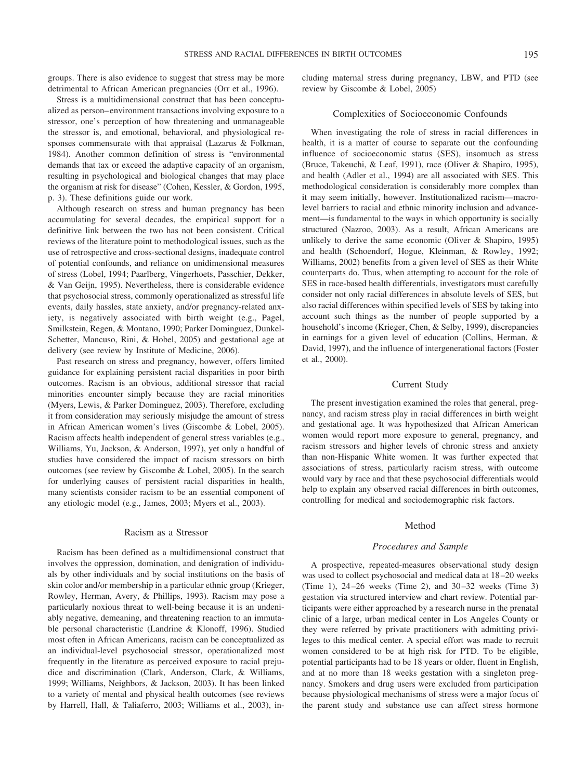groups. There is also evidence to suggest that stress may be more detrimental to African American pregnancies (Orr et al., 1996).

Stress is a multidimensional construct that has been conceptualized as person– environment transactions involving exposure to a stressor, one's perception of how threatening and unmanageable the stressor is, and emotional, behavioral, and physiological responses commensurate with that appraisal (Lazarus & Folkman, 1984). Another common definition of stress is "environmental demands that tax or exceed the adaptive capacity of an organism, resulting in psychological and biological changes that may place the organism at risk for disease" (Cohen, Kessler, & Gordon, 1995, p. 3). These definitions guide our work.

Although research on stress and human pregnancy has been accumulating for several decades, the empirical support for a definitive link between the two has not been consistent. Critical reviews of the literature point to methodological issues, such as the use of retrospective and cross-sectional designs, inadequate control of potential confounds, and reliance on unidimensional measures of stress (Lobel, 1994; Paarlberg, Vingerhoets, Passchier, Dekker, & Van Geijn, 1995). Nevertheless, there is considerable evidence that psychosocial stress, commonly operationalized as stressful life events, daily hassles, state anxiety, and/or pregnancy-related anxiety, is negatively associated with birth weight (e.g., Pagel, Smilkstein, Regen, & Montano, 1990; Parker Dominguez, Dunkel-Schetter, Mancuso, Rini, & Hobel, 2005) and gestational age at delivery (see review by Institute of Medicine, 2006).

Past research on stress and pregnancy, however, offers limited guidance for explaining persistent racial disparities in poor birth outcomes. Racism is an obvious, additional stressor that racial minorities encounter simply because they are racial minorities (Myers, Lewis, & Parker Dominguez, 2003). Therefore, excluding it from consideration may seriously misjudge the amount of stress in African American women's lives (Giscombe & Lobel, 2005). Racism affects health independent of general stress variables (e.g., Williams, Yu, Jackson, & Anderson, 1997), yet only a handful of studies have considered the impact of racism stressors on birth outcomes (see review by Giscombe & Lobel, 2005). In the search for underlying causes of persistent racial disparities in health, many scientists consider racism to be an essential component of any etiologic model (e.g., James, 2003; Myers et al., 2003).

## Racism as a Stressor

Racism has been defined as a multidimensional construct that involves the oppression, domination, and denigration of individuals by other individuals and by social institutions on the basis of skin color and/or membership in a particular ethnic group (Krieger, Rowley, Herman, Avery, & Phillips, 1993). Racism may pose a particularly noxious threat to well-being because it is an undeniably negative, demeaning, and threatening reaction to an immutable personal characteristic (Landrine & Klonoff, 1996). Studied most often in African Americans, racism can be conceptualized as an individual-level psychosocial stressor, operationalized most frequently in the literature as perceived exposure to racial prejudice and discrimination (Clark, Anderson, Clark, & Williams, 1999; Williams, Neighbors, & Jackson, 2003). It has been linked to a variety of mental and physical health outcomes (see reviews by Harrell, Hall, & Taliaferro, 2003; Williams et al., 2003), including maternal stress during pregnancy, LBW, and PTD (see review by Giscombe & Lobel, 2005)

## Complexities of Socioeconomic Confounds

When investigating the role of stress in racial differences in health, it is a matter of course to separate out the confounding influence of socioeconomic status (SES), insomuch as stress (Bruce, Takeuchi, & Leaf, 1991), race (Oliver & Shapiro, 1995), and health (Adler et al., 1994) are all associated with SES. This methodological consideration is considerably more complex than it may seem initially, however. Institutionalized racism—macrolevel barriers to racial and ethnic minority inclusion and advancement—is fundamental to the ways in which opportunity is socially structured (Nazroo, 2003). As a result, African Americans are unlikely to derive the same economic (Oliver & Shapiro, 1995) and health (Schoendorf, Hogue, Kleinman, & Rowley, 1992; Williams, 2002) benefits from a given level of SES as their White counterparts do. Thus, when attempting to account for the role of SES in race-based health differentials, investigators must carefully consider not only racial differences in absolute levels of SES, but also racial differences within specified levels of SES by taking into account such things as the number of people supported by a household's income (Krieger, Chen, & Selby, 1999), discrepancies in earnings for a given level of education (Collins, Herman, & David, 1997), and the influence of intergenerational factors (Foster et al., 2000).

# Current Study

The present investigation examined the roles that general, pregnancy, and racism stress play in racial differences in birth weight and gestational age. It was hypothesized that African American women would report more exposure to general, pregnancy, and racism stressors and higher levels of chronic stress and anxiety than non-Hispanic White women. It was further expected that associations of stress, particularly racism stress, with outcome would vary by race and that these psychosocial differentials would help to explain any observed racial differences in birth outcomes, controlling for medical and sociodemographic risk factors.

# Method

## *Procedures and Sample*

A prospective, repeated-measures observational study design was used to collect psychosocial and medical data at 18 –20 weeks (Time 1),  $24-26$  weeks (Time 2), and  $30-32$  weeks (Time 3) gestation via structured interview and chart review. Potential participants were either approached by a research nurse in the prenatal clinic of a large, urban medical center in Los Angeles County or they were referred by private practitioners with admitting privileges to this medical center. A special effort was made to recruit women considered to be at high risk for PTD. To be eligible, potential participants had to be 18 years or older, fluent in English, and at no more than 18 weeks gestation with a singleton pregnancy. Smokers and drug users were excluded from participation because physiological mechanisms of stress were a major focus of the parent study and substance use can affect stress hormone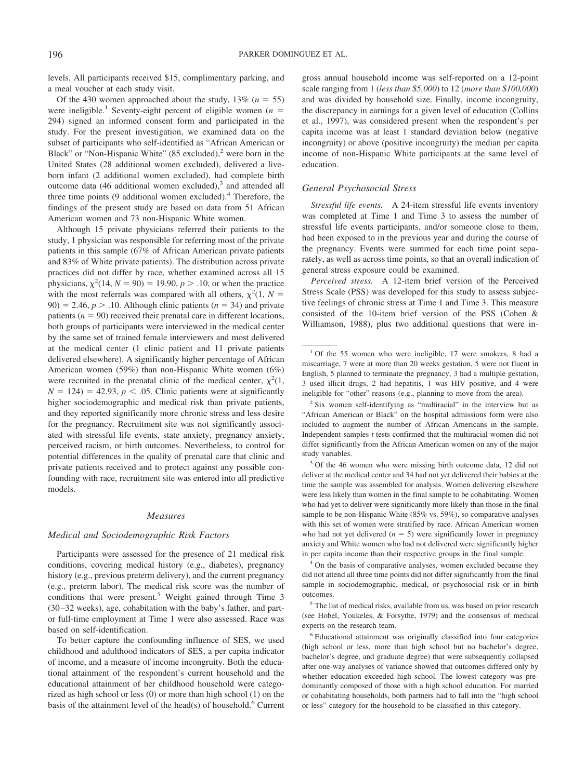levels. All participants received \$15, complimentary parking, and a meal voucher at each study visit.

Of the 430 women approached about the study,  $13\%$  ( $n = 55$ ) were ineligible.<sup>1</sup> Seventy-eight percent of eligible women ( $n =$ 294) signed an informed consent form and participated in the study. For the present investigation, we examined data on the subset of participants who self-identified as "African American or Black" or "Non-Hispanic White"  $(85 \text{ excluded})$ , were born in the United States (28 additional women excluded), delivered a liveborn infant (2 additional women excluded), had complete birth outcome data (46 additional women excluded), $3$  and attended all three time points  $(9 \text{ additional women excluded})$ .<sup>4</sup> Therefore, the findings of the present study are based on data from 51 African American women and 73 non-Hispanic White women.

Although 15 private physicians referred their patients to the study, 1 physician was responsible for referring most of the private patients in this sample (67% of African American private patients and 83% of White private patients). The distribution across private practices did not differ by race, whether examined across all 15 physicians,  $\chi^2(14, N = 90) = 19.90, p > .10$ , or when the practice with the most referrals was compared with all others,  $\chi^2(1, N =$  $90) = 2.46$ ,  $p > .10$ . Although clinic patients ( $n = 34$ ) and private patients  $(n = 90)$  received their prenatal care in different locations, both groups of participants were interviewed in the medical center by the same set of trained female interviewers and most delivered at the medical center (1 clinic patient and 11 private patients delivered elsewhere). A significantly higher percentage of African American women (59%) than non-Hispanic White women (6%) were recruited in the prenatal clinic of the medical center,  $\chi^2(1)$ ,  $N = 124$ ) = 42.93,  $p < .05$ . Clinic patients were at significantly higher sociodemographic and medical risk than private patients, and they reported significantly more chronic stress and less desire for the pregnancy. Recruitment site was not significantly associated with stressful life events, state anxiety, pregnancy anxiety, perceived racism, or birth outcomes. Nevertheless, to control for potential differences in the quality of prenatal care that clinic and private patients received and to protect against any possible confounding with race, recruitment site was entered into all predictive models.

#### *Measures*

## *Medical and Sociodemographic Risk Factors*

Participants were assessed for the presence of 21 medical risk conditions, covering medical history (e.g., diabetes), pregnancy history (e.g., previous preterm delivery), and the current pregnancy (e.g., preterm labor). The medical risk score was the number of conditions that were present.<sup>5</sup> Weight gained through Time 3 (30 –32 weeks), age, cohabitation with the baby's father, and partor full-time employment at Time 1 were also assessed. Race was based on self-identification.

To better capture the confounding influence of SES, we used childhood and adulthood indicators of SES, a per capita indicator of income, and a measure of income incongruity. Both the educational attainment of the respondent's current household and the educational attainment of her childhood household were categorized as high school or less (0) or more than high school (1) on the basis of the attainment level of the head(s) of household.<sup>6</sup> Current gross annual household income was self-reported on a 12-point scale ranging from 1 (*less than \$5,000*) to 12 (*more than \$100,000*) and was divided by household size. Finally, income incongruity, the discrepancy in earnings for a given level of education (Collins et al., 1997), was considered present when the respondent's per capita income was at least 1 standard deviation below (negative incongruity) or above (positive incongruity) the median per capita income of non-Hispanic White participants at the same level of education.

## *General Psychosocial Stress*

*Stressful life events.* A 24-item stressful life events inventory was completed at Time 1 and Time 3 to assess the number of stressful life events participants, and/or someone close to them, had been exposed to in the previous year and during the course of the pregnancy. Events were summed for each time point separately, as well as across time points, so that an overall indication of general stress exposure could be examined.

*Perceived stress.* A 12-item brief version of the Perceived Stress Scale (PSS) was developed for this study to assess subjective feelings of chronic stress at Time 1 and Time 3. This measure consisted of the 10-item brief version of the PSS (Cohen & Williamson, 1988), plus two additional questions that were in-

<sup>&</sup>lt;sup>1</sup> Of the 55 women who were ineligible, 17 were smokers, 8 had a miscarriage, 7 were at more than 20 weeks gestation, 5 were not fluent in English, 5 planned to terminate the pregnancy, 3 had a multiple gestation, 3 used illicit drugs, 2 had hepatitis, 1 was HIV positive, and 4 were ineligible for "other" reasons (e.g., planning to move from the area).

<sup>2</sup> Six women self-identifying as "multiracial" in the interview but as "African American or Black" on the hospital admissions form were also included to augment the number of African Americans in the sample. Independent-samples *t* tests confirmed that the multiracial women did not differ significantly from the African American women on any of the major study variables.

<sup>3</sup> Of the 46 women who were missing birth outcome data, 12 did not deliver at the medical center and 34 had not yet delivered their babies at the time the sample was assembled for analysis. Women delivering elsewhere were less likely than women in the final sample to be cohabitating. Women who had yet to deliver were significantly more likely than those in the final sample to be non-Hispanic White (85% vs. 59%), so comparative analyses with this set of women were stratified by race. African American women who had not yet delivered  $(n = 5)$  were significantly lower in pregnancy anxiety and White women who had not delivered were significantly higher in per capita income than their respective groups in the final sample.

<sup>&</sup>lt;sup>4</sup> On the basis of comparative analyses, women excluded because they did not attend all three time points did not differ significantly from the final sample in sociodemographic, medical, or psychosocial risk or in birth outcomes.

<sup>&</sup>lt;sup>5</sup> The list of medical risks, available from us, was based on prior research (see Hobel, Youkeles, & Forsythe, 1979) and the consensus of medical experts on the research team.

<sup>6</sup> Educational attainment was originally classified into four categories (high school or less, more than high school but no bachelor's degree, bachelor's degree, and graduate degree) that were subsequently collapsed after one-way analyses of variance showed that outcomes differed only by whether education exceeded high school. The lowest category was predominantly composed of those with a high school education. For married or cohabitating households, both partners had to fall into the "high school or less" category for the household to be classified in this category.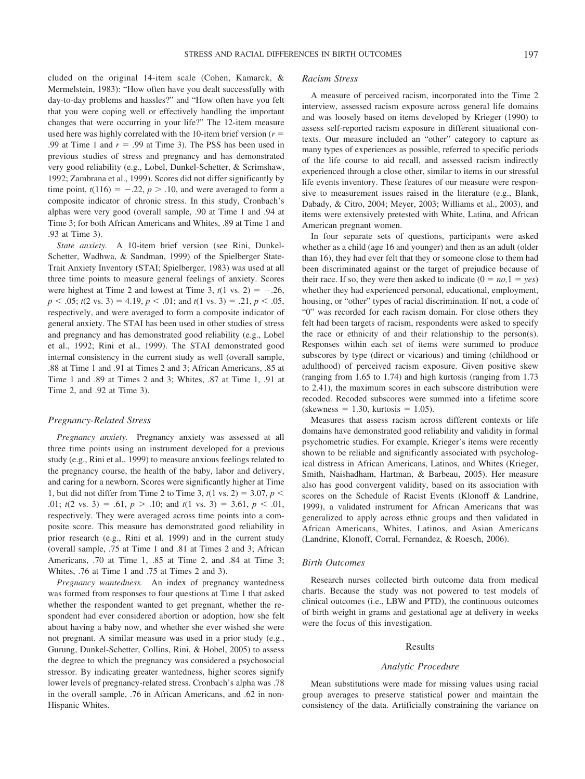cluded on the original 14-item scale (Cohen, Kamarck, & Mermelstein, 1983): "How often have you dealt successfully with day-to-day problems and hassles?" and "How often have you felt that you were coping well or effectively handling the important changes that were occurring in your life?" The 12-item measure used here was highly correlated with the 10-item brief version  $(r =$ .99 at Time 1 and  $r = .99$  at Time 3). The PSS has been used in previous studies of stress and pregnancy and has demonstrated very good reliability (e.g., Lobel, Dunkel-Schetter, & Scrimshaw, 1992; Zambrana et al., 1999). Scores did not differ significantly by time point,  $t(116) = -.22$ ,  $p > .10$ , and were averaged to form a composite indicator of chronic stress. In this study, Cronbach's alphas were very good (overall sample, .90 at Time 1 and .94 at Time 3; for both African Americans and Whites, .89 at Time 1 and .93 at Time 3).

*State anxiety.* A 10-item brief version (see Rini, Dunkel-Schetter, Wadhwa, & Sandman, 1999) of the Spielberger State-Trait Anxiety Inventory (STAI; Spielberger, 1983) was used at all three time points to measure general feelings of anxiety. Scores were highest at Time 2 and lowest at Time 3,  $t(1 \text{ vs. } 2) = -.26$ ,  $p < .05$ ;  $t(2 \text{ vs. } 3) = 4.19, p < .01$ ; and  $t(1 \text{ vs. } 3) = .21, p < .05$ , respectively, and were averaged to form a composite indicator of general anxiety. The STAI has been used in other studies of stress and pregnancy and has demonstrated good reliability (e.g., Lobel et al., 1992; Rini et al., 1999). The STAI demonstrated good internal consistency in the current study as well (overall sample, .88 at Time 1 and .91 at Times 2 and 3; African Americans, .85 at Time 1 and .89 at Times 2 and 3; Whites, .87 at Time 1, .91 at Time 2, and .92 at Time 3).

## *Pregnancy-Related Stress*

*Pregnancy anxiety.* Pregnancy anxiety was assessed at all three time points using an instrument developed for a previous study (e.g., Rini et al., 1999) to measure anxious feelings related to the pregnancy course, the health of the baby, labor and delivery, and caring for a newborn. Scores were significantly higher at Time 1, but did not differ from Time 2 to Time 3,  $t(1 \text{ vs. } 2) = 3.07, p <$ .01;  $t(2 \text{ vs. } 3) = .61, p > .10$ ; and  $t(1 \text{ vs. } 3) = 3.61, p < .01$ , respectively. They were averaged across time points into a composite score. This measure has demonstrated good reliability in prior research (e.g., Rini et al. 1999) and in the current study (overall sample, .75 at Time 1 and .81 at Times 2 and 3; African Americans, .70 at Time 1, .85 at Time 2, and .84 at Time 3; Whites, .76 at Time 1 and .75 at Times 2 and 3).

*Pregnancy wantedness.* An index of pregnancy wantedness was formed from responses to four questions at Time 1 that asked whether the respondent wanted to get pregnant, whether the respondent had ever considered abortion or adoption, how she felt about having a baby now, and whether she ever wished she were not pregnant. A similar measure was used in a prior study (e.g., Gurung, Dunkel-Schetter, Collins, Rini, & Hobel, 2005) to assess the degree to which the pregnancy was considered a psychosocial stressor. By indicating greater wantedness, higher scores signify lower levels of pregnancy-related stress. Cronbach's alpha was .78 in the overall sample, .76 in African Americans, and .62 in non-Hispanic Whites.

## *Racism Stress*

A measure of perceived racism, incorporated into the Time 2 interview, assessed racism exposure across general life domains and was loosely based on items developed by Krieger (1990) to assess self-reported racism exposure in different situational contexts. Our measure included an "other" category to capture as many types of experiences as possible, referred to specific periods of the life course to aid recall, and assessed racism indirectly experienced through a close other, similar to items in our stressful life events inventory. These features of our measure were responsive to measurement issues raised in the literature (e.g., Blank, Dabady, & Citro, 2004; Meyer, 2003; Williams et al., 2003), and items were extensively pretested with White, Latina, and African American pregnant women.

In four separate sets of questions, participants were asked whether as a child (age 16 and younger) and then as an adult (older than 16), they had ever felt that they or someone close to them had been discriminated against or the target of prejudice because of their race. If so, they were then asked to indicate  $(0 = no, 1 = yes)$ whether they had experienced personal, educational, employment, housing, or "other" types of racial discrimination. If not, a code of "0" was recorded for each racism domain. For close others they felt had been targets of racism, respondents were asked to specify the race or ethnicity of and their relationship to the person(s). Responses within each set of items were summed to produce subscores by type (direct or vicarious) and timing (childhood or adulthood) of perceived racism exposure. Given positive skew (ranging from 1.65 to 1.74) and high kurtosis (ranging from 1.73 to 2.41), the maximum scores in each subscore distribution were recoded. Recoded subscores were summed into a lifetime score  $\text{(skewness} = 1.30, \text{ kurtosis} = 1.05).$ 

Measures that assess racism across different contexts or life domains have demonstrated good reliability and validity in formal psychometric studies. For example, Krieger's items were recently shown to be reliable and significantly associated with psychological distress in African Americans, Latinos, and Whites (Krieger, Smith, Naishadham, Hartman, & Barbeau, 2005). Her measure also has good convergent validity, based on its association with scores on the Schedule of Racist Events (Klonoff & Landrine, 1999), a validated instrument for African Americans that was generalized to apply across ethnic groups and then validated in African Americans, Whites, Latinos, and Asian Americans (Landrine, Klonoff, Corral, Fernandez, & Roesch, 2006).

#### *Birth Outcomes*

Research nurses collected birth outcome data from medical charts. Because the study was not powered to test models of clinical outcomes (i.e., LBW and PTD), the continuous outcomes of birth weight in grams and gestational age at delivery in weeks were the focus of this investigation.

#### Results

## *Analytic Procedure*

Mean substitutions were made for missing values using racial group averages to preserve statistical power and maintain the consistency of the data. Artificially constraining the variance on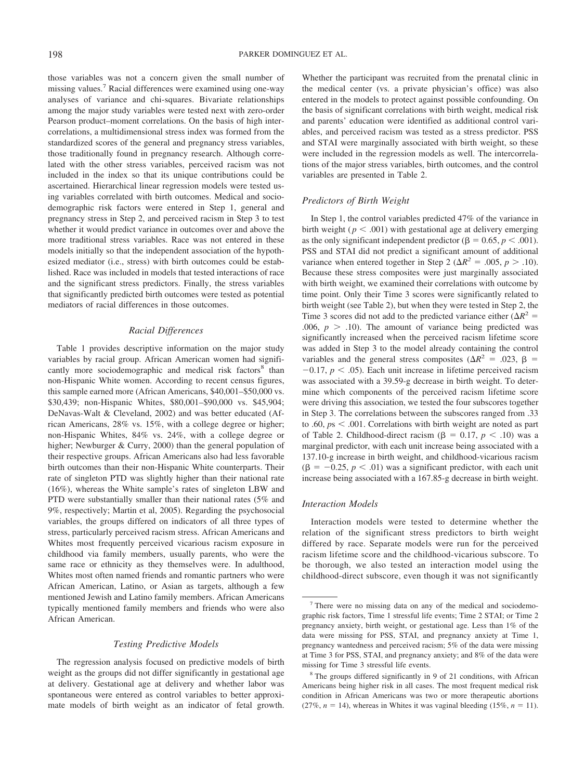those variables was not a concern given the small number of missing values.7 Racial differences were examined using one-way analyses of variance and chi-squares. Bivariate relationships among the major study variables were tested next with zero-order Pearson product–moment correlations. On the basis of high intercorrelations, a multidimensional stress index was formed from the standardized scores of the general and pregnancy stress variables, those traditionally found in pregnancy research. Although correlated with the other stress variables, perceived racism was not included in the index so that its unique contributions could be ascertained. Hierarchical linear regression models were tested using variables correlated with birth outcomes. Medical and sociodemographic risk factors were entered in Step 1, general and pregnancy stress in Step 2, and perceived racism in Step 3 to test whether it would predict variance in outcomes over and above the more traditional stress variables. Race was not entered in these models initially so that the independent association of the hypothesized mediator (i.e., stress) with birth outcomes could be established. Race was included in models that tested interactions of race and the significant stress predictors. Finally, the stress variables that significantly predicted birth outcomes were tested as potential mediators of racial differences in those outcomes.

# *Racial Differences*

Table 1 provides descriptive information on the major study variables by racial group. African American women had significantly more sociodemographic and medical risk factors<sup>8</sup> than non-Hispanic White women. According to recent census figures, this sample earned more (African Americans, \$40,001–\$50,000 vs. \$30,439; non-Hispanic Whites, \$80,001–\$90,000 vs. \$45,904; DeNavas-Walt & Cleveland, 2002) and was better educated (African Americans, 28% vs. 15%, with a college degree or higher; non-Hispanic Whites, 84% vs. 24%, with a college degree or higher; Newburger & Curry, 2000) than the general population of their respective groups. African Americans also had less favorable birth outcomes than their non-Hispanic White counterparts. Their rate of singleton PTD was slightly higher than their national rate (16%), whereas the White sample's rates of singleton LBW and PTD were substantially smaller than their national rates (5% and 9%, respectively; Martin et al, 2005). Regarding the psychosocial variables, the groups differed on indicators of all three types of stress, particularly perceived racism stress. African Americans and Whites most frequently perceived vicarious racism exposure in childhood via family members, usually parents, who were the same race or ethnicity as they themselves were. In adulthood, Whites most often named friends and romantic partners who were African American, Latino, or Asian as targets, although a few mentioned Jewish and Latino family members. African Americans typically mentioned family members and friends who were also African American.

## *Testing Predictive Models*

The regression analysis focused on predictive models of birth weight as the groups did not differ significantly in gestational age at delivery. Gestational age at delivery and whether labor was spontaneous were entered as control variables to better approximate models of birth weight as an indicator of fetal growth. Whether the participant was recruited from the prenatal clinic in the medical center (vs. a private physician's office) was also entered in the models to protect against possible confounding. On the basis of significant correlations with birth weight, medical risk and parents' education were identified as additional control variables, and perceived racism was tested as a stress predictor. PSS and STAI were marginally associated with birth weight, so these were included in the regression models as well. The intercorrelations of the major stress variables, birth outcomes, and the control variables are presented in Table 2.

# *Predictors of Birth Weight*

In Step 1, the control variables predicted 47% of the variance in birth weight ( $p < .001$ ) with gestational age at delivery emerging as the only significant independent predictor ( $\beta = 0.65, p < .001$ ). PSS and STAI did not predict a significant amount of additional variance when entered together in Step 2 ( $\Delta R^2 = .005$ ,  $p > .10$ ). Because these stress composites were just marginally associated with birth weight, we examined their correlations with outcome by time point. Only their Time 3 scores were significantly related to birth weight (see Table 2), but when they were tested in Step 2, the Time 3 scores did not add to the predicted variance either  $(\Delta R^2 =$ .006,  $p > .10$ ). The amount of variance being predicted was significantly increased when the perceived racism lifetime score was added in Step 3 to the model already containing the control variables and the general stress composites ( $\Delta R^2 = .023$ ,  $\beta =$  $-0.17$ ,  $p < .05$ ). Each unit increase in lifetime perceived racism was associated with a 39.59-g decrease in birth weight. To determine which components of the perceived racism lifetime score were driving this association, we tested the four subscores together in Step 3. The correlations between the subscores ranged from .33 to .60,  $ps < .001$ . Correlations with birth weight are noted as part of Table 2. Childhood-direct racism ( $\beta = 0.17$ ,  $p < .10$ ) was a marginal predictor, with each unit increase being associated with a 137.10-g increase in birth weight, and childhood-vicarious racism  $(\beta = -0.25, p < .01)$  was a significant predictor, with each unit increase being associated with a 167.85-g decrease in birth weight.

## *Interaction Models*

Interaction models were tested to determine whether the relation of the significant stress predictors to birth weight differed by race. Separate models were run for the perceived racism lifetime score and the childhood-vicarious subscore. To be thorough, we also tested an interaction model using the childhood-direct subscore, even though it was not significantly

<sup>7</sup> There were no missing data on any of the medical and sociodemographic risk factors, Time 1 stressful life events; Time 2 STAI; or Time 2 pregnancy anxiety, birth weight, or gestational age. Less than 1% of the data were missing for PSS, STAI, and pregnancy anxiety at Time 1, pregnancy wantedness and perceived racism; 5% of the data were missing at Time 3 for PSS, STAI, and pregnancy anxiety; and 8% of the data were missing for Time 3 stressful life events.

<sup>8</sup> The groups differed significantly in 9 of 21 conditions, with African Americans being higher risk in all cases. The most frequent medical risk condition in African Americans was two or more therapeutic abortions  $(27\%, n = 14)$ , whereas in Whites it was vaginal bleeding  $(15\%, n = 11)$ .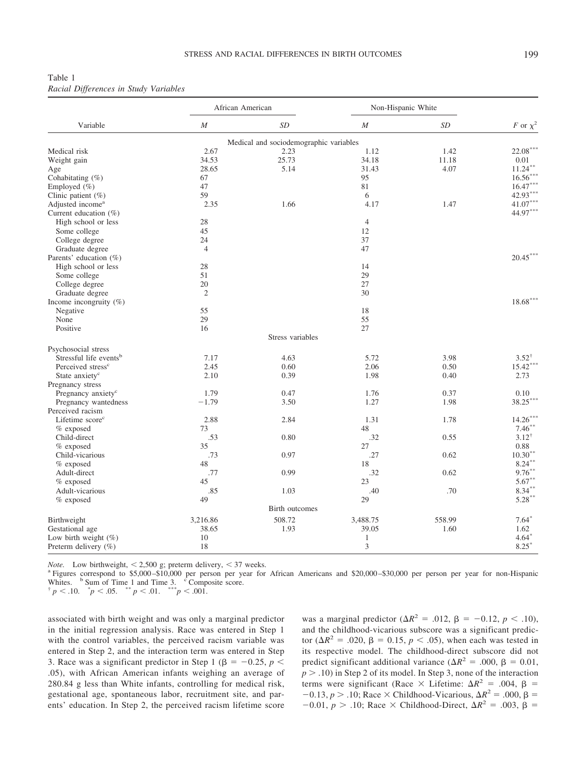| Table 1                               |  |  |
|---------------------------------------|--|--|
| Racial Differences in Study Variables |  |  |

|                                    | African American |                                        | Non-Hispanic White |        |               |
|------------------------------------|------------------|----------------------------------------|--------------------|--------|---------------|
| Variable                           | $\overline{M}$   | SD                                     | $\boldsymbol{M}$   | SD     | F or $\chi^2$ |
|                                    |                  | Medical and sociodemographic variables |                    |        |               |
| Medical risk                       | 2.67             | 2.23                                   | 1.12               | 1.42   | $22.08***$    |
| Weight gain                        | 34.53            | 25.73                                  | 34.18              | 11.18  | 0.01          |
| Age                                | 28.65            | 5.14                                   | 31.43              | 4.07   | $11.24***$    |
| Cohabitating $(\% )$               | 67               |                                        | 95                 |        | $16.56***$    |
| Employed $(\% )$                   | 47               |                                        | 81                 |        | $16.47***$    |
| Clinic patient $(\% )$             | 59               |                                        | 6                  |        | $42.93***$    |
| Adjusted income <sup>a</sup>       | 2.35             | 1.66                                   | 4.17               | 1.47   | $41.07***$    |
| Current education $(\%)$           |                  |                                        |                    |        | 44.97***      |
| High school or less                | 28               |                                        | $\overline{4}$     |        |               |
| Some college                       | 45               |                                        | 12                 |        |               |
| College degree                     | 24               |                                        | 37                 |        |               |
| Graduate degree                    | $\overline{4}$   |                                        | 47                 |        |               |
| Parents' education (%)             |                  |                                        |                    |        | $20.45***$    |
| High school or less                | 28               |                                        | 14                 |        |               |
| Some college                       | 51               |                                        | 29                 |        |               |
| College degree                     | 20               |                                        | 27                 |        |               |
| Graduate degree                    | $\overline{c}$   |                                        | 30                 |        |               |
| Income incongruity $(\%)$          |                  |                                        |                    |        | $18.68***$    |
| Negative                           | 55               |                                        | 18                 |        |               |
| None                               | 29               |                                        | 55                 |        |               |
| Positive                           | 16               |                                        | 27                 |        |               |
|                                    |                  | Stress variables                       |                    |        |               |
| Psychosocial stress                |                  |                                        |                    |        |               |
| Stressful life events <sup>b</sup> | 7.17             | 4.63                                   | 5.72               | 3.98   | $3.52^+$      |
| Perceived stress <sup>c</sup>      | 2.45             | 0.60                                   | 2.06               | 0.50   | $15.42***$    |
| State anxiety <sup>c</sup>         | 2.10             | 0.39                                   | 1.98               | 0.40   | 2.73          |
| Pregnancy stress                   |                  |                                        |                    |        |               |
| Pregnancy anxiety <sup>c</sup>     | 1.79             | 0.47                                   | 1.76               | 0.37   | 0.10          |
| Pregnancy wantedness               | $-1.79$          | 3.50                                   | 1.27               | 1.98   | $38.25***$    |
| Perceived racism                   |                  |                                        |                    |        |               |
| Lifetime score <sup>c</sup>        | 2.88             | 2.84                                   | 1.31               |        | $14.26***$    |
|                                    | 73               |                                        | 48                 | 1.78   | $7.46***$     |
| % exposed                          |                  |                                        | .32                |        | $3.12^{+}$    |
| Child-direct                       | .53<br>35        | 0.80                                   |                    | 0.55   |               |
| $%$ exposed                        |                  |                                        | 27                 | 0.62   | 0.88          |
| Child-vicarious                    | .73<br>48        | 0.97                                   | .27                |        | $10.30**$     |
| % exposed                          |                  |                                        | 18                 |        | $8.24***$     |
| Adult-direct                       | .77              | 0.99                                   | .32                | 0.62   | $9.76***$     |
| $%$ exposed                        | 45               |                                        | 23                 |        | $5.67***$     |
| Adult-vicarious                    | .85              | 1.03                                   | .40                | .70    | $8.34***$     |
| % exposed                          | 49               |                                        | 29                 |        | $5.28***$     |
|                                    |                  | Birth outcomes                         |                    |        |               |
| Birthweight                        | 3,216.86         | 508.72                                 | 3,488.75           | 558.99 | $7.64*$       |
| Gestational age                    | 38.65            | 1.93                                   | 39.05              | 1.60   | 1.62          |
| Low birth weight $(\%)$            | 10               |                                        | $\mathbf{1}$       |        | $4.64*$       |
| Preterm delivery $(\% )$           | 18               |                                        | 3                  |        | 8.25          |

*Note.* Low birthweight, < 2,500 g; preterm delivery, < 37 weeks.<br><sup>a</sup> Figures correspond to \$5,000–\$10,000 per person per year for African Americans and \$20,000–\$30,000 per person per year for non-Hispanic Whites.  $\frac{b}{p}$  Sum of Time 1 and Time 3.  $\frac{c}{p}$  Composite score.  $\frac{b}{p}$   $p < .10$ .  $\frac{b}{p}$   $p < .01$ .  $\frac{b}{p}$   $p < .001$ .

associated with birth weight and was only a marginal predictor in the initial regression analysis. Race was entered in Step 1 with the control variables, the perceived racism variable was entered in Step 2, and the interaction term was entered in Step 3. Race was a significant predictor in Step 1 ( $\beta = -0.25$ ,  $p <$ .05), with African American infants weighing an average of 280.84 g less than White infants, controlling for medical risk, gestational age, spontaneous labor, recruitment site, and parents' education. In Step 2, the perceived racism lifetime score

was a marginal predictor ( $\Delta R^2 = .012$ ,  $\beta = -0.12$ ,  $p < .10$ ), and the childhood-vicarious subscore was a significant predictor  $(\Delta R^2 = .020, \beta = 0.15, p < .05)$ , when each was tested in its respective model. The childhood-direct subscore did not predict significant additional variance ( $\Delta R^2 = .000$ ,  $\beta = 0.01$ ,  $p > .10$ ) in Step 2 of its model. In Step 3, none of the interaction terms were significant (Race  $\times$  Lifetime:  $\Delta R^2 = .004$ ,  $\beta =$  $-0.13$ ,  $p > .10$ ; Race  $\times$  Childhood-Vicarious,  $\Delta R^2 = .000$ ,  $\beta =$  $-0.01, p > .10$ ; Race  $\times$  Childhood-Direct,  $\Delta R^2 = .003, \beta =$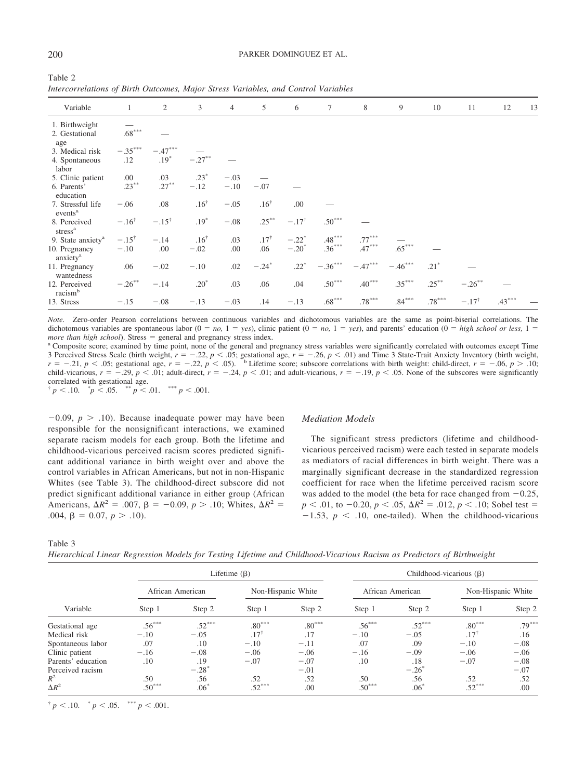| Table 2                                                                            |  |  |
|------------------------------------------------------------------------------------|--|--|
| Intercorrelations of Birth Outcomes, Major Stress Variables, and Control Variables |  |  |

| Variable                                 | 1                | 2                   | 3               | $\overline{4}$ | 5                   | 6                   | $7\overline{ }$ | 8         | 9         | 10       | 11               | 12       | 13 |
|------------------------------------------|------------------|---------------------|-----------------|----------------|---------------------|---------------------|-----------------|-----------|-----------|----------|------------------|----------|----|
| 1. Birthweight<br>2. Gestational         | $.68***$         |                     |                 |                |                     |                     |                 |           |           |          |                  |          |    |
| age<br>3. Medical risk<br>4. Spontaneous | $-.35***$<br>.12 | $-.47***$<br>$.19*$ | $-.27***$       |                |                     |                     |                 |           |           |          |                  |          |    |
| labor<br>5. Clinic patient               | .00              | .03                 | $.23*$          | $-.03$         |                     |                     |                 |           |           |          |                  |          |    |
| 6. Parents'<br>education                 | $.23***$         | $.27***$            | $-.12$          | $-.10$         | $-.07$              |                     |                 |           |           |          |                  |          |    |
| 7. Stressful life<br>events <sup>a</sup> | $-.06$           | .08                 | $.16^{\dagger}$ | $-.05$         | .16 <sup>†</sup>    | .00                 |                 |           |           |          |                  |          |    |
| 8. Perceived<br>stress <sup>a</sup>      | $-.16^{\dagger}$ | $-.15^{\dagger}$    | $.19*$          | $-.08$         | $.25***$            | $-.17^{\dagger}$    | $.50***$        |           |           |          |                  |          |    |
| 9. State anxiety <sup>a</sup>            | $-.15^{\dagger}$ | $-.14$              | $.16^{\dagger}$ | .03            | $.17^{+}$           | $-.22$ <sup>*</sup> | $.48***$        | $.77***$  |           |          |                  |          |    |
| 10. Pregnancy<br>anxiety <sup>a</sup>    | $-.10$           | .00                 | $-.02$          | .00            | .06                 | $-.20*$             | $.36***$        | $.47***$  | $.65***$  |          |                  |          |    |
| 11. Pregnancy<br>wantedness              | .06              | $-.02$              | $-.10$          | $.02\,$        | $-.24$ <sup>*</sup> | $.22*$              | $-.36***$       | $-.47***$ | $-.46***$ | $.21*$   |                  |          |    |
| 12. Perceived<br>racism <sup>b</sup>     | $-.26***$        | $-.14$              | $.20*$          | .03            | .06                 | .04                 | $.50***$        | $.40***$  | $.35***$  | $.25***$ | $-.26***$        |          |    |
| 13. Stress                               | $-.15$           | $-.08$              | $-.13$          | $-.03$         | .14                 | $-.13$              | $.68***$        | $.78***$  | $.84***$  | $.78***$ | $-.17^{\dagger}$ | $.43***$ |    |
|                                          |                  |                     |                 |                |                     |                     |                 |           |           |          |                  |          |    |

*Note.* Zero-order Pearson correlations between continuous variables and dichotomous variables are the same as point-biserial correlations. The dichotomous variables are spontaneous labor  $(0 = no, 1 = yes)$ , clinic patient  $(0 = no, 1 = yes)$ , and parents' education  $(0 = high school or less, 1 =$ *more than high school*). Stress  $=$  general and pregnancy stress index.

<sup>a</sup> Composite score; examined by time point, none of the general and pregnancy stress variables were significantly correlated with outcomes except Time 3 Perceived Stress Scale (birth weight,  $r = -22$ ,  $p < 0.05$ ; gestational age,  $r = -26$ ,  $p < 0.01$ ) and Time 3 State-Trait Anxiety Inventory (birth weight,  $r = -21$ ,  $p < .05$ ; gestational age,  $r = -22$ ,  $p < .05$ ). b Lifetime score; subscore correlations with birth weight: child-direct,  $r = -.06$ ,  $p > .10$ ; child-vicarious,  $r = -0.29$ ,  $p < 0.01$ ; adult-direct,  $r = -0.24$ ,  $p < 0.01$ ; and adult-vicarious,  $r = -0.19$ ,  $p < 0.05$ . None of the subscores were significantly correlated with gestational age.

 $p^+ p < 0.10.$   $p^+ p < 0.05.$   $p^+ p < 0.01.$   $p^+ p < 0.001.$ 

 $-0.09$ ,  $p > .10$ ). Because inadequate power may have been responsible for the nonsignificant interactions, we examined separate racism models for each group. Both the lifetime and childhood-vicarious perceived racism scores predicted significant additional variance in birth weight over and above the control variables in African Americans, but not in non-Hispanic Whites (see Table 3). The childhood-direct subscore did not predict significant additional variance in either group (African Americans,  $\Delta R^2 = .007$ ,  $\beta = -0.09$ ,  $p > .10$ ; Whites,  $\Delta R^2 =$ .004,  $\beta = 0.07, p > .10$ .

## *Mediation Models*

The significant stress predictors (lifetime and childhoodvicarious perceived racism) were each tested in separate models as mediators of racial differences in birth weight. There was a marginally significant decrease in the standardized regression coefficient for race when the lifetime perceived racism score was added to the model (the beta for race changed from  $-0.25$ ,  $p < .01$ , to  $-0.20$ ,  $p < .05$ ,  $\Delta R^2 = .012$ ,  $p < .10$ ; Sobel test =  $-1.53$ ,  $p < .10$ , one-tailed). When the childhood-vicarious

Table 3

*Hierarchical Linear Regression Models for Testing Lifetime and Childhood-Vicarious Racism as Predictors of Birthweight*

| Variable           |                  |          | Lifetime $(\beta)$   |          | Childhood-vicarious $(\beta)$ |                |                      |          |  |
|--------------------|------------------|----------|----------------------|----------|-------------------------------|----------------|----------------------|----------|--|
|                    | African American |          | Non-Hispanic White   |          | African American              |                | Non-Hispanic White   |          |  |
|                    | Step 1           | Step 2   | Step 1               | Step 2   | Step 1                        | Step 2         | Step 1               | Step 2   |  |
| Gestational age    | $.56***$         | $.52***$ | $.80^{\ast\ast\ast}$ | $.80***$ | $.56***$                      | $.52***$       | $.80^{\ast\ast\ast}$ | $.79***$ |  |
| Medical risk       | $-.10$           | $-.05$   | $.17^{+}$            | .17      | $-.10$                        | $-.05$         | $.17^{\dagger}$      | .16      |  |
| Spontaneous labor  | .07              | .10      | $-.10$               | $-.11$   | .07                           | .09            | $-.10$               | $-.08$   |  |
| Clinic patient     | $-.16$           | $-.08$   | $-.06$               | $-.06$   | $-.16$                        | $-.09$         | $-.06$               | $-.06$   |  |
| Parents' education | .10              | .19      | $-.07$               | $-.07$   | .10                           | .18            | $-.07$               | $-.08$   |  |
| Perceived racism   |                  | $-.28^*$ |                      | $-.01$   |                               | $-.26^{\circ}$ |                      | $-.07$   |  |
| $R^2$              | .50              | .56      | .52                  | .52      | .50                           | .56            | .52                  | .52      |  |
| $\Delta R^2$       | $.50***$         | .06      | $.52***$             | .00      | $.50***$                      | .06            | $.52***$             | .00      |  |

 $\frac{p}{p}$  < .10.  $\frac{p}{p}$  < .05.  $\frac{p}{p}$  < .001.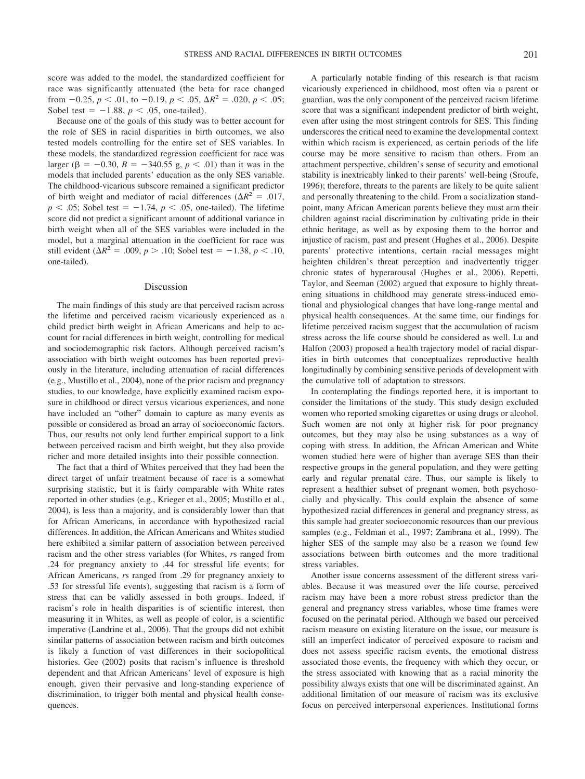score was added to the model, the standardized coefficient for race was significantly attenuated (the beta for race changed from  $-0.25$ ,  $p < .01$ , to  $-0.19$ ,  $p < .05$ ,  $\Delta R^2 = .020$ ,  $p < .05$ ; Sobel test =  $-1.88$ ,  $p < .05$ , one-tailed).

Because one of the goals of this study was to better account for the role of SES in racial disparities in birth outcomes, we also tested models controlling for the entire set of SES variables. In these models, the standardized regression coefficient for race was larger ( $\beta = -0.30, B = -340.55$  g,  $p < .01$ ) than it was in the models that included parents' education as the only SES variable. The childhood-vicarious subscore remained a significant predictor of birth weight and mediator of racial differences ( $\Delta R^2 = .017$ ,  $p < .05$ ; Sobel test =  $-1.74$ ,  $p < .05$ , one-tailed). The lifetime score did not predict a significant amount of additional variance in birth weight when all of the SES variables were included in the model, but a marginal attenuation in the coefficient for race was still evident  $(\Delta R^2 = .009, p > .10;$  Sobel test = -1.38,  $p < .10$ , one-tailed).

## Discussion

The main findings of this study are that perceived racism across the lifetime and perceived racism vicariously experienced as a child predict birth weight in African Americans and help to account for racial differences in birth weight, controlling for medical and sociodemographic risk factors. Although perceived racism's association with birth weight outcomes has been reported previously in the literature, including attenuation of racial differences (e.g., Mustillo et al., 2004), none of the prior racism and pregnancy studies, to our knowledge, have explicitly examined racism exposure in childhood or direct versus vicarious experiences, and none have included an "other" domain to capture as many events as possible or considered as broad an array of socioeconomic factors. Thus, our results not only lend further empirical support to a link between perceived racism and birth weight, but they also provide richer and more detailed insights into their possible connection.

The fact that a third of Whites perceived that they had been the direct target of unfair treatment because of race is a somewhat surprising statistic, but it is fairly comparable with White rates reported in other studies (e.g., Krieger et al., 2005; Mustillo et al., 2004), is less than a majority, and is considerably lower than that for African Americans, in accordance with hypothesized racial differences. In addition, the African Americans and Whites studied here exhibited a similar pattern of association between perceived racism and the other stress variables (for Whites, *r*s ranged from .24 for pregnancy anxiety to .44 for stressful life events; for African Americans, *r*s ranged from .29 for pregnancy anxiety to .53 for stressful life events), suggesting that racism is a form of stress that can be validly assessed in both groups. Indeed, if racism's role in health disparities is of scientific interest, then measuring it in Whites, as well as people of color, is a scientific imperative (Landrine et al., 2006). That the groups did not exhibit similar patterns of association between racism and birth outcomes is likely a function of vast differences in their sociopolitical histories. Gee (2002) posits that racism's influence is threshold dependent and that African Americans' level of exposure is high enough, given their pervasive and long-standing experience of discrimination, to trigger both mental and physical health consequences.

A particularly notable finding of this research is that racism vicariously experienced in childhood, most often via a parent or guardian, was the only component of the perceived racism lifetime score that was a significant independent predictor of birth weight, even after using the most stringent controls for SES. This finding underscores the critical need to examine the developmental context within which racism is experienced, as certain periods of the life course may be more sensitive to racism than others. From an attachment perspective, children's sense of security and emotional stability is inextricably linked to their parents' well-being (Sroufe, 1996); therefore, threats to the parents are likely to be quite salient and personally threatening to the child. From a socialization standpoint, many African American parents believe they must arm their children against racial discrimination by cultivating pride in their ethnic heritage, as well as by exposing them to the horror and injustice of racism, past and present (Hughes et al., 2006). Despite parents' protective intentions, certain racial messages might heighten children's threat perception and inadvertently trigger chronic states of hyperarousal (Hughes et al., 2006). Repetti, Taylor, and Seeman (2002) argued that exposure to highly threatening situations in childhood may generate stress-induced emotional and physiological changes that have long-range mental and physical health consequences. At the same time, our findings for lifetime perceived racism suggest that the accumulation of racism stress across the life course should be considered as well. Lu and Halfon (2003) proposed a health trajectory model of racial disparities in birth outcomes that conceptualizes reproductive health longitudinally by combining sensitive periods of development with the cumulative toll of adaptation to stressors.

In contemplating the findings reported here, it is important to consider the limitations of the study. This study design excluded women who reported smoking cigarettes or using drugs or alcohol. Such women are not only at higher risk for poor pregnancy outcomes, but they may also be using substances as a way of coping with stress. In addition, the African American and White women studied here were of higher than average SES than their respective groups in the general population, and they were getting early and regular prenatal care. Thus, our sample is likely to represent a healthier subset of pregnant women, both psychosocially and physically. This could explain the absence of some hypothesized racial differences in general and pregnancy stress, as this sample had greater socioeconomic resources than our previous samples (e.g., Feldman et al., 1997; Zambrana et al., 1999). The higher SES of the sample may also be a reason we found few associations between birth outcomes and the more traditional stress variables.

Another issue concerns assessment of the different stress variables. Because it was measured over the life course, perceived racism may have been a more robust stress predictor than the general and pregnancy stress variables, whose time frames were focused on the perinatal period. Although we based our perceived racism measure on existing literature on the issue, our measure is still an imperfect indicator of perceived exposure to racism and does not assess specific racism events, the emotional distress associated those events, the frequency with which they occur, or the stress associated with knowing that as a racial minority the possibility always exists that one will be discriminated against. An additional limitation of our measure of racism was its exclusive focus on perceived interpersonal experiences. Institutional forms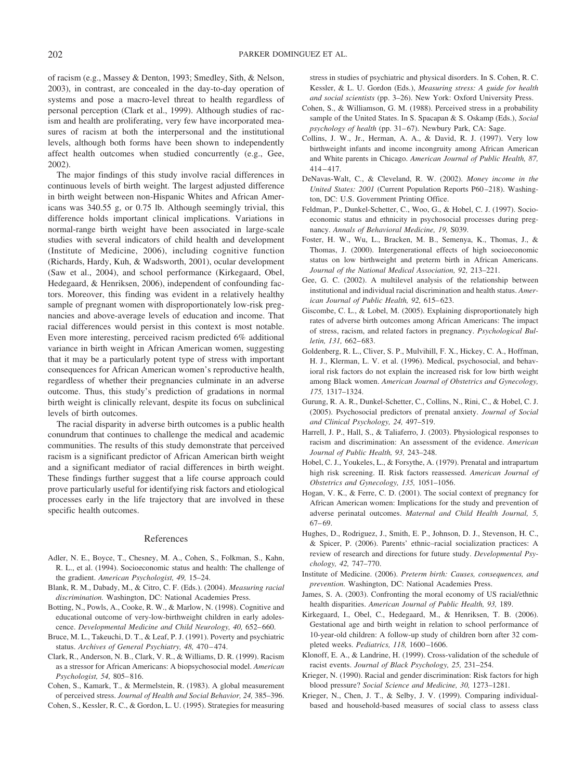of racism (e.g., Massey & Denton, 1993; Smedley, Sith, & Nelson, 2003), in contrast, are concealed in the day-to-day operation of systems and pose a macro-level threat to health regardless of personal perception (Clark et al., 1999). Although studies of racism and health are proliferating, very few have incorporated measures of racism at both the interpersonal and the institutional levels, although both forms have been shown to independently affect health outcomes when studied concurrently (e.g., Gee, 2002).

The major findings of this study involve racial differences in continuous levels of birth weight. The largest adjusted difference in birth weight between non-Hispanic Whites and African Americans was 340.55 g, or 0.75 lb. Although seemingly trivial, this difference holds important clinical implications. Variations in normal-range birth weight have been associated in large-scale studies with several indicators of child health and development (Institute of Medicine, 2006), including cognitive function (Richards, Hardy, Kuh, & Wadsworth, 2001), ocular development (Saw et al., 2004), and school performance (Kirkegaard, Obel, Hedegaard, & Henriksen, 2006), independent of confounding factors. Moreover, this finding was evident in a relatively healthy sample of pregnant women with disproportionately low-risk pregnancies and above-average levels of education and income. That racial differences would persist in this context is most notable. Even more interesting, perceived racism predicted 6% additional variance in birth weight in African American women, suggesting that it may be a particularly potent type of stress with important consequences for African American women's reproductive health, regardless of whether their pregnancies culminate in an adverse outcome. Thus, this study's prediction of gradations in normal birth weight is clinically relevant, despite its focus on subclinical levels of birth outcomes.

The racial disparity in adverse birth outcomes is a public health conundrum that continues to challenge the medical and academic communities. The results of this study demonstrate that perceived racism is a significant predictor of African American birth weight and a significant mediator of racial differences in birth weight. These findings further suggest that a life course approach could prove particularly useful for identifying risk factors and etiological processes early in the life trajectory that are involved in these specific health outcomes.

#### References

- Adler, N. E., Boyce, T., Chesney, M. A., Cohen, S., Folkman, S., Kahn, R. L., et al. (1994). Socioeconomic status and health: The challenge of the gradient. *American Psychologist, 49,* 15–24.
- Blank, R. M., Dabady, M., & Citro, C. F. (Eds.). (2004). *Measuring racial discrimination.* Washington, DC: National Academies Press.
- Botting, N., Powls, A., Cooke, R. W., & Marlow, N. (1998). Cognitive and educational outcome of very-low-birthweight children in early adolescence. *Developmental Medicine and Child Neurology, 40, 652-660*.
- Bruce, M. L., Takeuchi, D. T., & Leaf, P. J. (1991). Poverty and psychiatric status. *Archives of General Psychiatry, 48, 470-474.*
- Clark, R., Anderson, N. B., Clark, V. R., & Williams, D. R. (1999). Racism as a stressor for African Americans: A biopsychosocial model. *American Psychologist, 54,* 805– 816.
- Cohen, S., Kamark, T., & Mermelstein, R. (1983). A global measurement of perceived stress. *Journal of Health and Social Behavior, 24,* 385–396. Cohen, S., Kessler, R. C., & Gordon, L. U. (1995). Strategies for measuring

stress in studies of psychiatric and physical disorders. In S. Cohen, R. C. Kessler, & L. U. Gordon (Eds.), *Measuring stress: A guide for health and social scientists* (pp. 3–26). New York: Oxford University Press.

- Cohen, S., & Williamson, G. M. (1988). Perceived stress in a probability sample of the United States. In S. Spacapan & S. Oskamp (Eds.), *Social* psychology of health (pp. 31-67). Newbury Park, CA: Sage.
- Collins, J. W., Jr., Herman, A. A., & David, R. J. (1997). Very low birthweight infants and income incongruity among African American and White parents in Chicago. *American Journal of Public Health, 87,*  $414 - 417$ .
- DeNavas-Walt, C., & Cleveland, R. W. (2002). *Money income in the United States: 2001* (Current Population Reports P60-218). Washington, DC: U.S. Government Printing Office.
- Feldman, P., Dunkel-Schetter, C., Woo, G., & Hobel, C. J. (1997). Socioeconomic status and ethnicity in psychosocial processes during pregnancy. *Annals of Behavioral Medicine, 19,* S039.
- Foster, H. W., Wu, L., Bracken, M. B., Semenya, K., Thomas, J., & Thomas, J. (2000). Intergenerational effects of high socioeconomic status on low birthweight and preterm birth in African Americans. *Journal of the National Medical Association, 92,* 213–221.
- Gee, G. C. (2002). A multilevel analysis of the relationship between institutional and individual racial discrimination and health status. *American Journal of Public Health, 92,* 615– 623.
- Giscombe, C. L., & Lobel, M. (2005). Explaining disproportionately high rates of adverse birth outcomes among African Americans: The impact of stress, racism, and related factors in pregnancy. *Psychological Bulletin, 131,* 662– 683.
- Goldenberg, R. L., Cliver, S. P., Mulvihill, F. X., Hickey, C. A., Hoffman, H. J., Klerman, L. V. et al. (1996). Medical, psychosocial, and behavioral risk factors do not explain the increased risk for low birth weight among Black women. *American Journal of Obstetrics and Gynecology, 175,* 1317–1324.
- Gurung, R. A. R., Dunkel-Schetter, C., Collins, N., Rini, C., & Hobel, C. J. (2005). Psychosocial predictors of prenatal anxiety. *Journal of Social and Clinical Psychology, 24,* 497–519.
- Harrell, J. P., Hall, S., & Taliaferro, J. (2003). Physiological responses to racism and discrimination: An assessment of the evidence. *American Journal of Public Health, 93,* 243–248.
- Hobel, C. J., Youkeles, L., & Forsythe, A. (1979). Prenatal and intrapartum high risk screening. II. Risk factors reassessed. *American Journal of Obstetrics and Gynecology, 135,* 1051–1056.
- Hogan, V. K., & Ferre, C. D. (2001). The social context of pregnancy for African American women: Implications for the study and prevention of adverse perinatal outcomes. *Maternal and Child Health Journal, 5,*  $67 - 69.$
- Hughes, D., Rodriguez, J., Smith, E. P., Johnson, D. J., Stevenson, H. C., & Spicer, P. (2006). Parents' ethnic–racial socialization practices: A review of research and directions for future study. *Developmental Psychology, 42,* 747–770.
- Institute of Medicine. (2006). *Preterm birth: Causes, consequences, and prevention.* Washington, DC: National Academies Press.
- James, S. A. (2003). Confronting the moral economy of US racial/ethnic health disparities. *American Journal of Public Health, 93,* 189.
- Kirkegaard, I., Obel, C., Hedegaard, M., & Henriksen, T. B. (2006). Gestational age and birth weight in relation to school performance of 10-year-old children: A follow-up study of children born after 32 completed weeks. *Pediatrics, 118,* 1600 –1606.
- Klonoff, E. A., & Landrine, H. (1999). Cross-validation of the schedule of racist events. *Journal of Black Psychology, 25,* 231–254.
- Krieger, N. (1990). Racial and gender discrimination: Risk factors for high blood pressure? *Social Science and Medicine, 30,* 1273–1281.
- Krieger, N., Chen, J. T., & Selby, J. V. (1999). Comparing individualbased and household-based measures of social class to assess class